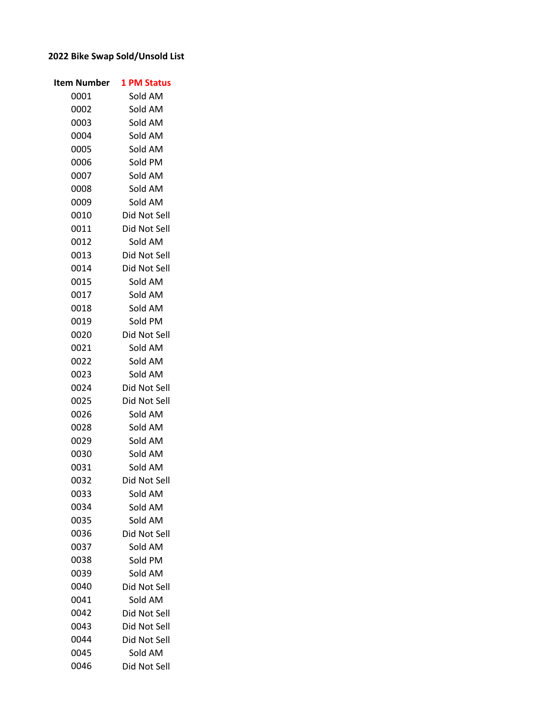## **2022 Bike Swap Sold/Unsold List**

| Item Number | <b>1 PM Status</b> |
|-------------|--------------------|
| 0001        | Sold AM            |
| 0002        | Sold AM            |
| 0003        | Sold AM            |
| 0004        | Sold AM            |
| 0005        | Sold AM            |
| 0006        | Sold PM            |
| 0007        | Sold AM            |
| 0008        | Sold AM            |
| 0009        | Sold AM            |
| 0010        | Did Not Sell       |
| 0011        | Did Not Sell       |
| 0012        | Sold AM            |
| 0013        | Did Not Sell       |
| 0014        | Did Not Sell       |
| 0015        | Sold AM            |
| 0017        | Sold AM            |
| 0018        | Sold AM            |
| 0019        | Sold PM            |
| 0020        | Did Not Sell       |
| 0021        | Sold AM            |
| 0022        | Sold AM            |
| 0023        | Sold AM            |
| 0024        | Did Not Sell       |
| 0025        | Did Not Sell       |
| 0026        | Sold AM            |
| 0028        | Sold AM            |
| 0029        | Sold AM            |
| 0030        | Sold AM            |
| 0031        | Sold AM            |
| 0032        | Did Not Sell       |
| 0033        | Sold AM            |
| 0034        | Sold AM            |
| 0035        | Sold AM            |
| 0036        | Did Not Sell       |
| 0037        | Sold AM            |
| 0038        | Sold PM            |
| 0039        | Sold AM            |
| 0040        | Did Not Sell       |
| 0041        | Sold AM            |
| 0042        | Did Not Sell       |
| 0043        | Did Not Sell       |
| 0044        | Did Not Sell       |
| 0045        | Sold AM            |
| 0046        | Did Not Sell       |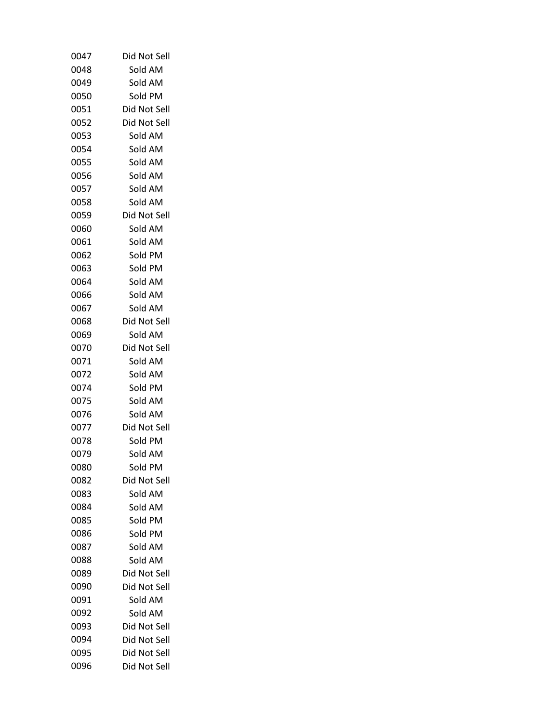| 0047 | Did Not Sell |
|------|--------------|
| 0048 | Sold AM      |
| 0049 | Sold AM      |
| 0050 | Sold PM      |
| 0051 | Did Not Sell |
| 0052 | Did Not Sell |
| 0053 | Sold AM      |
| 0054 | Sold AM      |
| 0055 | Sold AM      |
| 0056 | Sold AM      |
| 0057 | Sold AM      |
| 0058 | Sold AM      |
| 0059 | Did Not Sell |
| 0060 | Sold AM      |
| 0061 | Sold AM      |
| 0062 | Sold PM      |
| 0063 | Sold PM      |
| 0064 | Sold AM      |
| 0066 | Sold AM      |
| 0067 | Sold AM      |
| 0068 | Did Not Sell |
| 0069 | Sold AM      |
| 0070 | Did Not Sell |
| 0071 | Sold AM      |
| 0072 | Sold AM      |
| 0074 | Sold PM      |
| 0075 | Sold AM      |
| 0076 | Sold AM      |
| 0077 | Did Not Sell |
| 0078 | Sold PM      |
| 0079 | Sold AM      |
| 0080 | Sold PM      |
| 0082 | Did Not Sell |
| 0083 | Sold AM      |
| 0084 | Sold AM      |
| 0085 | Sold PM      |
| 0086 | Sold PM      |
| 0087 | Sold AM      |
| 0088 | Sold AM      |
| 0089 | Did Not Sell |
| 0090 | Did Not Sell |
| 0091 | Sold AM      |
| 0092 | Sold AM      |
| 0093 | Did Not Sell |
| 0094 | Did Not Sell |
| 0095 | Did Not Sell |
| 0096 | Did Not Sell |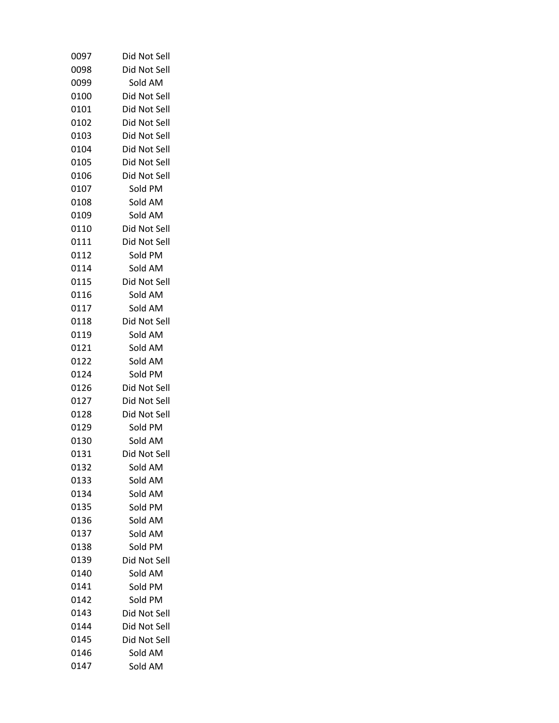| 0097         | Did Not Sell                 |
|--------------|------------------------------|
| 0098         | Did Not Sell                 |
| 0099         | Sold AM                      |
| 0100         | Did Not Sell                 |
| 0101         | Did Not Sell                 |
| 0102         | Did Not Sell                 |
| 0103         | Did Not Sell                 |
| 0104         | Did Not Sell                 |
| 0105         | Did Not Sell                 |
| 0106         | Did Not Sell                 |
| 0107         | Sold PM                      |
| 0108         | Sold AM                      |
| 0109         | Sold AM                      |
| 0110         | Did Not Sell                 |
| 0111         | Did Not Sell                 |
| 0112         | Sold PM                      |
| 0114         | Sold AM                      |
| 0115         | Did Not Sell                 |
| 0116         | Sold AM                      |
| 0117         | Sold AM                      |
| 0118         | Did Not Sell                 |
| 0119         | Sold AM                      |
| 0121         | Sold AM                      |
| 0122         | Sold AM                      |
| 0124         | Sold PM                      |
| 0126         | Did Not Sell                 |
| 0127         | Did Not Sell                 |
| 0128         | Did Not Sell                 |
| 0129         | Sold PM                      |
| 0130         | Sold AM                      |
| 0131         | Did Not Sell                 |
| 0132         | Sold AM                      |
| 0133         | Sold AM                      |
| 0134         | Sold AM                      |
| 0135         | Sold PM                      |
| 0136         | Sold AM                      |
| 0137         | Sold AM                      |
| 0138         | Sold PM                      |
| 0139         | Did Not Sell                 |
| 0140         | Sold AM                      |
| 0141         | Sold PM                      |
| 0142         | Sold PM                      |
| 0143<br>0144 | Did Not Sell                 |
| 0145         | Did Not Sell<br>Did Not Sell |
| 0146         | Sold AM                      |
| 0147         |                              |
|              | Sold AM                      |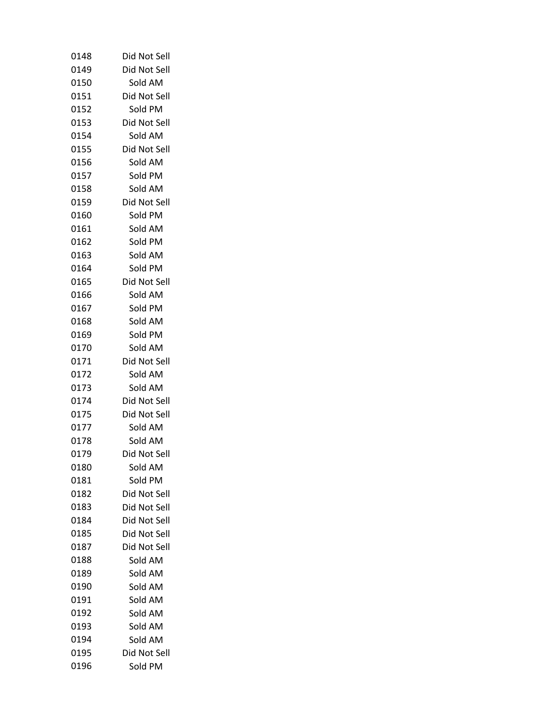| 0148 | Did Not Sell |
|------|--------------|
| 0149 | Did Not Sell |
| 0150 | Sold AM      |
| 0151 | Did Not Sell |
| 0152 | Sold PM      |
| 0153 | Did Not Sell |
| 0154 | Sold AM      |
| 0155 | Did Not Sell |
| 0156 | Sold AM      |
| 0157 | Sold PM      |
| 0158 | Sold AM      |
| 0159 | Did Not Sell |
| 0160 | Sold PM      |
| 0161 | Sold AM      |
| 0162 | Sold PM      |
| 0163 | Sold AM      |
| 0164 | Sold PM      |
| 0165 | Did Not Sell |
| 0166 | Sold AM      |
| 0167 | Sold PM      |
| 0168 | Sold AM      |
| 0169 | Sold PM      |
| 0170 | Sold AM      |
| 0171 | Did Not Sell |
| 0172 | Sold AM      |
| 0173 | Sold AM      |
| 0174 | Did Not Sell |
| 0175 | Did Not Sell |
| 0177 | Sold AM      |
| 0178 | Sold AM      |
| 0179 | Did Not Sell |
| 0180 | Sold AM      |
| 0181 | Sold PM      |
| 0182 | Did Not Sell |
| 0183 | Did Not Sell |
| 0184 | Did Not Sell |
| 0185 | Did Not Sell |
| 0187 | Did Not Sell |
| 0188 | Sold AM      |
| 0189 | Sold AM      |
| 0190 | Sold AM      |
| 0191 | Sold AM      |
| 0192 | Sold AM      |
| 0193 | Sold AM      |
| 0194 | Sold AM      |
| 0195 | Did Not Sell |
| 0196 | Sold PM      |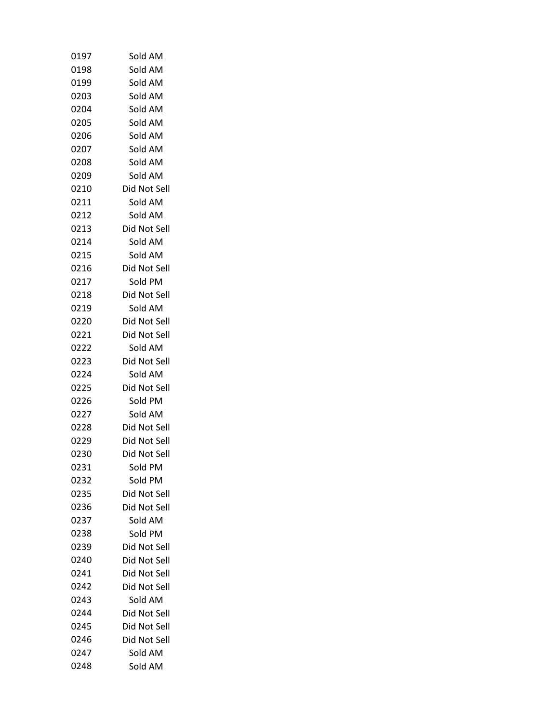| 0197 | Sold AM      |
|------|--------------|
| 0198 | Sold AM      |
| 0199 | Sold AM      |
| 0203 | Sold AM      |
| 0204 | Sold AM      |
| 0205 | Sold AM      |
| 0206 | Sold AM      |
| 0207 | Sold AM      |
| 0208 | Sold AM      |
| 0209 | Sold AM      |
| 0210 | Did Not Sell |
| 0211 | Sold AM      |
| 0212 | Sold AM      |
| 0213 | Did Not Sell |
| 0214 | Sold AM      |
| 0215 | Sold AM      |
| 0216 | Did Not Sell |
| 0217 | Sold PM      |
| 0218 | Did Not Sell |
| 0219 | Sold AM      |
| 0220 | Did Not Sell |
| 0221 | Did Not Sell |
| 0222 | Sold AM      |
| 0223 | Did Not Sell |
| 0224 | Sold AM      |
| 0225 | Did Not Sell |
| 0226 | Sold PM      |
| 0227 | Sold AM      |
| 0228 | Did Not Sell |
| 0229 | Did Not Sell |
| 0230 | Did Not Sell |
| 0231 | Sold PM      |
| 0232 | Sold PM      |
| 0235 | Did Not Sell |
| 0236 | Did Not Sell |
| 0237 | Sold AM      |
| 0238 | Sold PM      |
| 0239 | Did Not Sell |
| 0240 | Did Not Sell |
| 0241 | Did Not Sell |
| 0242 | Did Not Sell |
| 0243 | Sold AM      |
| 0244 | Did Not Sell |
| 0245 | Did Not Sell |
| 0246 | Did Not Sell |
| 0247 | Sold AM      |
| 0248 | Sold AM      |
|      |              |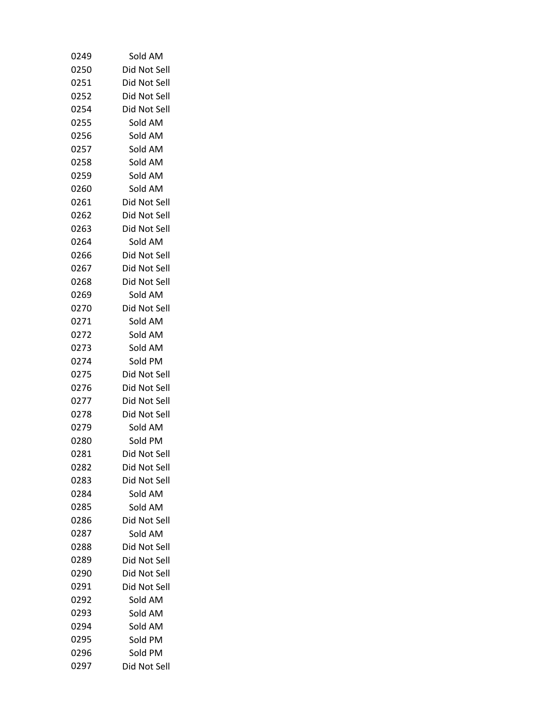| 0249 | Sold AM      |
|------|--------------|
| 0250 | Did Not Sell |
| 0251 | Did Not Sell |
| 0252 | Did Not Sell |
| 0254 | Did Not Sell |
| 0255 | Sold AM      |
| 0256 | Sold AM      |
| 0257 | Sold AM      |
| 0258 | Sold AM      |
| 0259 | Sold AM      |
| 0260 | Sold AM      |
| 0261 | Did Not Sell |
| 0262 | Did Not Sell |
| 0263 | Did Not Sell |
| 0264 | Sold AM      |
| 0266 | Did Not Sell |
| 0267 | Did Not Sell |
| 0268 | Did Not Sell |
| 0269 | Sold AM      |
| 0270 | Did Not Sell |
| 0271 | Sold AM      |
| 0272 | Sold AM      |
| 0273 | Sold AM      |
| 0274 | Sold PM      |
| 0275 | Did Not Sell |
| 0276 | Did Not Sell |
| 0277 | Did Not Sell |
| 0278 | Did Not Sell |
| 0279 | Sold AM      |
| 0280 | Sold PM      |
| 0281 | Did Not Sell |
| 0282 | Did Not Sell |
| 0283 | Did Not Sell |
| 0284 | Sold AM      |
| 0285 | Sold AM      |
| 0286 | Did Not Sell |
| 0287 | Sold AM      |
| 0288 | Did Not Sell |
| 0289 | Did Not Sell |
| 0290 | Did Not Sell |
| 0291 | Did Not Sell |
| 0292 | Sold AM      |
| 0293 | Sold AM      |
| 0294 | Sold AM      |
| 0295 | Sold PM      |
| 0296 | Sold PM      |
| 0297 | Did Not Sell |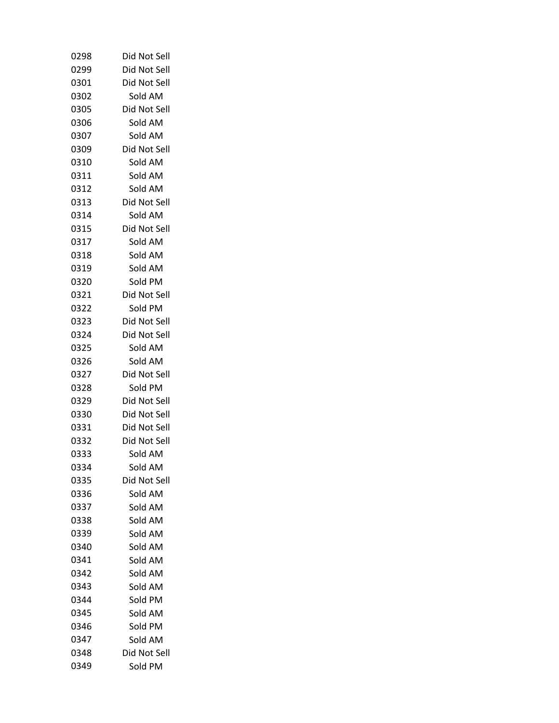| 0298 | Did Not Sell |
|------|--------------|
| 0299 | Did Not Sell |
| 0301 | Did Not Sell |
| 0302 | Sold AM      |
| 0305 | Did Not Sell |
| 0306 | Sold AM      |
| 0307 | Sold AM      |
| 0309 | Did Not Sell |
| 0310 | Sold AM      |
| 0311 | Sold AM      |
| 0312 | Sold AM      |
| 0313 | Did Not Sell |
| 0314 | Sold AM      |
| 0315 | Did Not Sell |
| 0317 | Sold AM      |
| 0318 | Sold AM      |
| 0319 | Sold AM      |
| 0320 | Sold PM      |
| 0321 | Did Not Sell |
| 0322 | Sold PM      |
| 0323 | Did Not Sell |
| 0324 | Did Not Sell |
| 0325 | Sold AM      |
| 0326 | Sold AM      |
| 0327 | Did Not Sell |
| 0328 | Sold PM      |
| 0329 | Did Not Sell |
| 0330 | Did Not Sell |
| 0331 | Did Not Sell |
| 0332 | Did Not Sell |
| 0333 | Sold AM      |
| 0334 | Sold AM      |
| 0335 | Did Not Sell |
| 0336 | Sold AM      |
| 0337 | Sold AM      |
| 0338 | Sold AM      |
| 0339 | Sold AM      |
| 0340 | Sold AM      |
| 0341 | Sold AM      |
| 0342 | Sold AM      |
| 0343 | Sold AM      |
| 0344 | Sold PM      |
| 0345 | Sold AM      |
| 0346 | Sold PM      |
| 0347 | Sold AM      |
| 0348 | Did Not Sell |
| 0349 | Sold PM      |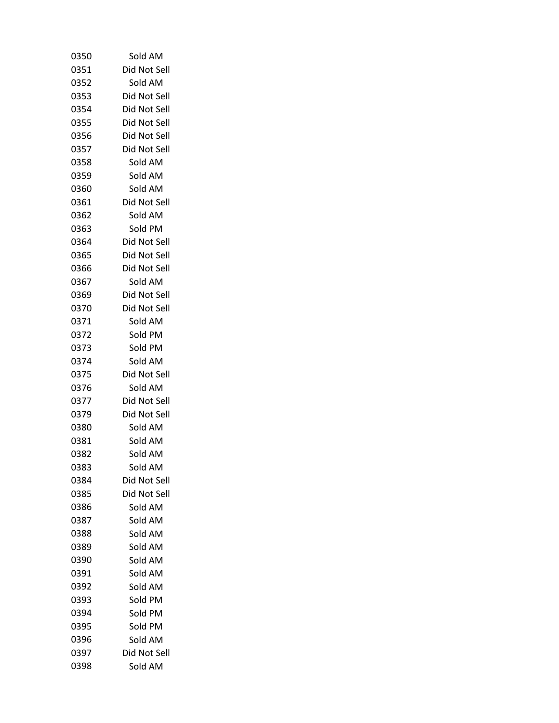| 0350 | Sold AM      |
|------|--------------|
| 0351 | Did Not Sell |
| 0352 | Sold AM      |
| 0353 | Did Not Sell |
| 0354 | Did Not Sell |
| 0355 | Did Not Sell |
| 0356 | Did Not Sell |
| 0357 | Did Not Sell |
| 0358 | Sold AM      |
| 0359 | Sold AM      |
| 0360 | Sold AM      |
| 0361 | Did Not Sell |
| 0362 | Sold AM      |
| 0363 | Sold PM      |
| 0364 | Did Not Sell |
| 0365 | Did Not Sell |
| 0366 | Did Not Sell |
| 0367 | Sold AM      |
| 0369 | Did Not Sell |
| 0370 | Did Not Sell |
| 0371 | Sold AM      |
| 0372 | Sold PM      |
| 0373 | Sold PM      |
| 0374 | Sold AM      |
| 0375 | Did Not Sell |
| 0376 | Sold AM      |
| 0377 | Did Not Sell |
| 0379 | Did Not Sell |
| 0380 | Sold AM      |
| 0381 | Sold AM      |
| 0382 | Sold AM      |
| 0383 | Sold AM      |
| 0384 | Did Not Sell |
| 0385 | Did Not Sell |
| 0386 | Sold AM      |
| 0387 | Sold AM      |
| 0388 | Sold AM      |
| 0389 | Sold AM      |
| 0390 | Sold AM      |
| 0391 | Sold AM      |
| 0392 | Sold AM      |
| 0393 | Sold PM      |
| 0394 | Sold PM      |
| 0395 | Sold PM      |
| 0396 | Sold AM      |
| 0397 | Did Not Sell |
| 0398 | Sold AM      |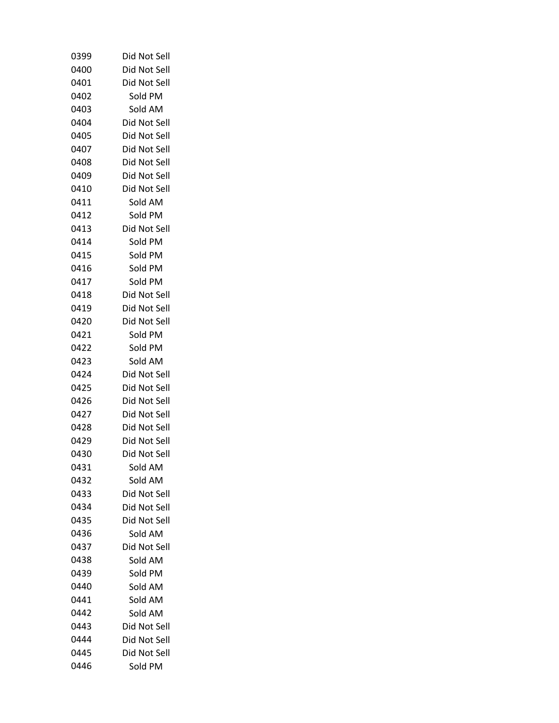| 0399 | Did Not Sell |
|------|--------------|
| 0400 | Did Not Sell |
| 0401 | Did Not Sell |
| 0402 | Sold PM      |
| 0403 | Sold AM      |
| 0404 | Did Not Sell |
| 0405 | Did Not Sell |
| 0407 | Did Not Sell |
| 0408 | Did Not Sell |
| 0409 | Did Not Sell |
| 0410 | Did Not Sell |
| 0411 | Sold AM      |
| 0412 | Sold PM      |
| 0413 | Did Not Sell |
| 0414 | Sold PM      |
| 0415 | Sold PM      |
| 0416 | Sold PM      |
| 0417 | Sold PM      |
| 0418 | Did Not Sell |
| 0419 | Did Not Sell |
| 0420 | Did Not Sell |
| 0421 | Sold PM      |
| 0422 | Sold PM      |
| 0423 | Sold AM      |
| 0424 | Did Not Sell |
| 0425 | Did Not Sell |
| 0426 | Did Not Sell |
| 0427 | Did Not Sell |
| 0428 | Did Not Sell |
| 0429 | Did Not Sell |
| 0430 | Did Not Sell |
| 0431 | Sold AM      |
| 0432 | Sold AM      |
| 0433 | Did Not Sell |
| 0434 | Did Not Sell |
| 0435 | Did Not Sell |
| 0436 | Sold AM      |
| 0437 | Did Not Sell |
| 0438 | Sold AM      |
| 0439 | Sold PM      |
| 0440 | Sold AM      |
| 0441 | Sold AM      |
| 0442 | Sold AM      |
| 0443 | Did Not Sell |
| 0444 | Did Not Sell |
| 0445 | Did Not Sell |
| 0446 | Sold PM      |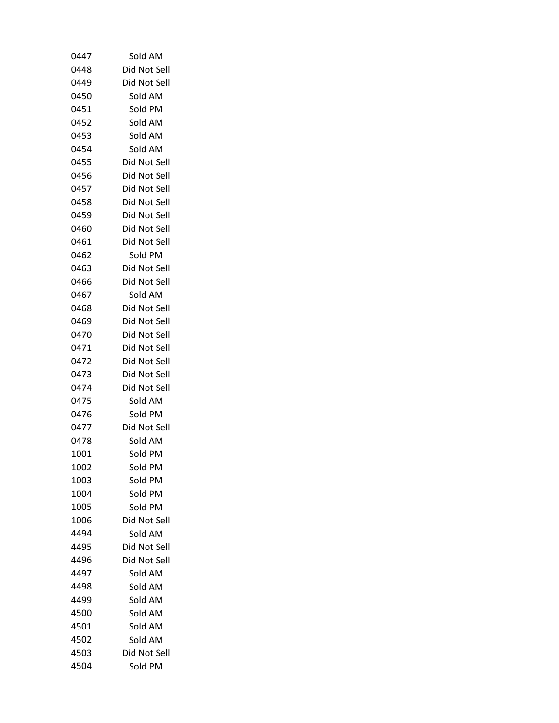| 0447         | Sold AM                      |
|--------------|------------------------------|
| 0448         | Did Not Sell                 |
| 0449         | Did Not Sell                 |
| 0450         | Sold AM                      |
| 0451         | Sold PM                      |
| 0452         | Sold AM                      |
| 0453         | Sold AM                      |
| 0454         | Sold AM                      |
| 0455         | Did Not Sell                 |
| 0456         | Did Not Sell                 |
| 0457         | Did Not Sell                 |
| 0458         | Did Not Sell                 |
| 0459         | Did Not Sell                 |
| 0460         | Did Not Sell                 |
| 0461         | Did Not Sell                 |
| 0462         | Sold PM                      |
| 0463         | Did Not Sell                 |
| 0466         | Did Not Sell                 |
| 0467         | Sold AM                      |
| 0468         | Did Not Sell                 |
| 0469         | Did Not Sell                 |
| 0470         | Did Not Sell                 |
| 0471         | Did Not Sell                 |
| 0472         | Did Not Sell                 |
| 0473         | Did Not Sell                 |
| 0474         | Did Not Sell                 |
| 0475         | Sold AM                      |
| 0476         | Sold PM                      |
| 0477         | Did Not Sell                 |
| 0478         | Sold AM                      |
| 1001         | Sold PM                      |
| 1002         | Sold PM                      |
| 1003         | Sold PM                      |
| 1004         | Sold PM                      |
| 1005         | Sold PM                      |
| 1006         | Did Not Sell                 |
| 4494         | Sold AM                      |
| 4495         | Did Not Sell<br>Did Not Sell |
| 4496<br>4497 | Sold AM                      |
| 4498         | Sold AM                      |
| 4499         | Sold AM                      |
| 4500         | Sold AM                      |
| 4501         | Sold AM                      |
| 4502         | Sold AM                      |
| 4503         | Did Not Sell                 |
| 4504         | Sold PM                      |
|              |                              |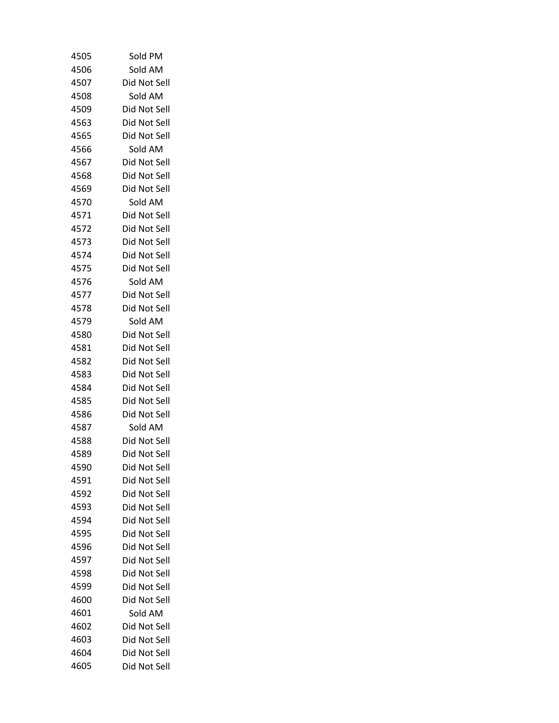| 4505 | Sold PM      |
|------|--------------|
| 4506 | Sold AM      |
| 4507 | Did Not Sell |
| 4508 | Sold AM      |
| 4509 | Did Not Sell |
| 4563 | Did Not Sell |
| 4565 | Did Not Sell |
| 4566 | Sold AM      |
| 4567 | Did Not Sell |
| 4568 | Did Not Sell |
| 4569 | Did Not Sell |
| 4570 | Sold AM      |
| 4571 | Did Not Sell |
| 4572 | Did Not Sell |
| 4573 | Did Not Sell |
| 4574 | Did Not Sell |
| 4575 | Did Not Sell |
| 4576 | Sold AM      |
| 4577 | Did Not Sell |
| 4578 | Did Not Sell |
| 4579 | Sold AM      |
| 4580 | Did Not Sell |
| 4581 | Did Not Sell |
| 4582 | Did Not Sell |
| 4583 | Did Not Sell |
| 4584 | Did Not Sell |
| 4585 | Did Not Sell |
| 4586 | Did Not Sell |
| 4587 | Sold AM      |
| 4588 | Did Not Sell |
| 4589 | Did Not Sell |
| 4590 | Did Not Sell |
| 4591 | Did Not Sell |
| 4592 | Did Not Sell |
| 4593 | Did Not Sell |
| 4594 | Did Not Sell |
| 4595 | Did Not Sell |
| 4596 | Did Not Sell |
| 4597 | Did Not Sell |
| 4598 | Did Not Sell |
| 4599 | Did Not Sell |
| 4600 | Did Not Sell |
| 4601 | Sold AM      |
| 4602 | Did Not Sell |
| 4603 | Did Not Sell |
| 4604 | Did Not Sell |
| 4605 | Did Not Sell |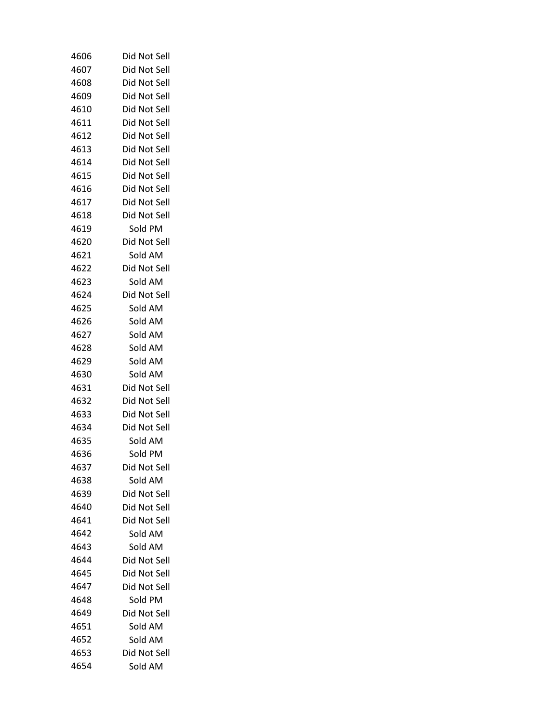| 4606 | Did Not Sell |
|------|--------------|
| 4607 | Did Not Sell |
| 4608 | Did Not Sell |
| 4609 | Did Not Sell |
| 4610 | Did Not Sell |
| 4611 | Did Not Sell |
| 4612 | Did Not Sell |
| 4613 | Did Not Sell |
| 4614 | Did Not Sell |
| 4615 | Did Not Sell |
| 4616 | Did Not Sell |
| 4617 | Did Not Sell |
| 4618 | Did Not Sell |
| 4619 | Sold PM      |
| 4620 | Did Not Sell |
| 4621 | Sold AM      |
| 4622 | Did Not Sell |
| 4623 | Sold AM      |
| 4624 | Did Not Sell |
| 4625 | Sold AM      |
| 4626 | Sold AM      |
| 4627 | Sold AM      |
| 4628 | Sold AM      |
| 4629 | Sold AM      |
| 4630 | Sold AM      |
| 4631 | Did Not Sell |
| 4632 | Did Not Sell |
| 4633 | Did Not Sell |
| 4634 | Did Not Sell |
| 4635 | Sold AM      |
| 4636 | Sold PM      |
| 4637 | Did Not Sell |
| 4638 | Sold AM      |
| 4639 | Did Not Sell |
| 4640 | Did Not Sell |
| 4641 | Did Not Sell |
| 4642 | Sold AM      |
| 4643 | Sold AM      |
| 4644 | Did Not Sell |
| 4645 | Did Not Sell |
| 4647 | Did Not Sell |
| 4648 | Sold PM      |
| 4649 | Did Not Sell |
| 4651 | Sold AM      |
| 4652 | Sold AM      |
| 4653 | Did Not Sell |
| 4654 | Sold AM      |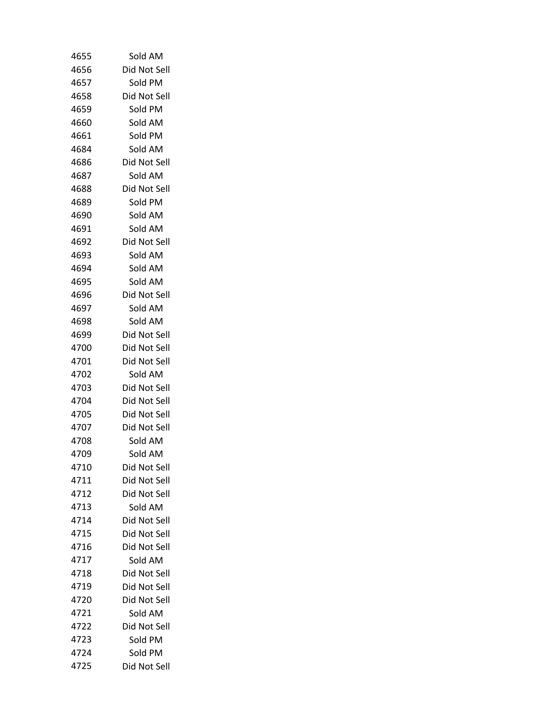| 4655         | Sold AM                      |
|--------------|------------------------------|
| 4656         | Did Not Sell                 |
| 4657         | Sold PM                      |
| 4658         | Did Not Sell                 |
| 4659         | Sold PM                      |
| 4660         | Sold AM                      |
| 4661         | Sold PM                      |
| 4684         | Sold AM                      |
| 4686         | Did Not Sell                 |
| 4687         | Sold AM                      |
| 4688         | Did Not Sell                 |
| 4689         | Sold PM                      |
| 4690         | Sold AM                      |
| 4691         | Sold AM                      |
| 4692         | Did Not Sell                 |
| 4693         | Sold AM                      |
| 4694         | Sold AM                      |
| 4695         | Sold AM                      |
| 4696         | Did Not Sell                 |
| 4697         | Sold AM                      |
| 4698         | Sold AM                      |
| 4699         | Did Not Sell                 |
| 4700         | Did Not Sell                 |
| 4701         | Did Not Sell                 |
| 4702         | Sold AM                      |
| 4703         | Did Not Sell                 |
| 4704         | Did Not Sell                 |
| 4705         | Did Not Sell                 |
| 4707         | Did Not Sell                 |
| 4708         | Sold AM                      |
| 4709         | Sold AM                      |
| 4710         | Did Not Sell                 |
| 4711         | Did Not Sell                 |
| 4712         | Did Not Sell                 |
| 4713<br>4714 | Sold AM<br>Did Not Sell      |
| 4715         |                              |
| 4716         | Did Not Sell<br>Did Not Sell |
| 4717         | Sold AM                      |
| 4718         | Did Not Sell                 |
| 4719         | Did Not Sell                 |
| 4720         | Did Not Sell                 |
| 4721         | Sold AM                      |
| 4722         | Did Not Sell                 |
| 4723         | Sold PM                      |
| 4724         | Sold PM                      |
| 4725         | Did Not Sell                 |
|              |                              |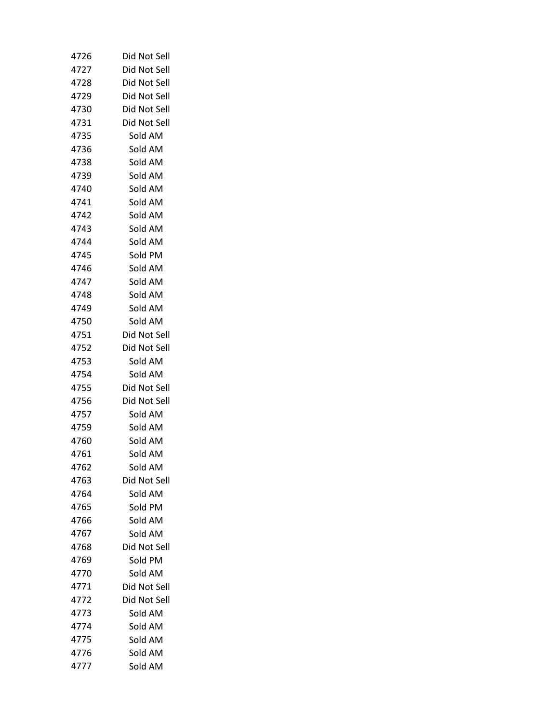| 4726 | Did Not Sell |
|------|--------------|
| 4727 | Did Not Sell |
| 4728 | Did Not Sell |
| 4729 | Did Not Sell |
| 4730 | Did Not Sell |
| 4731 | Did Not Sell |
| 4735 | Sold AM      |
| 4736 | Sold AM      |
| 4738 | Sold AM      |
| 4739 | Sold AM      |
| 4740 | Sold AM      |
| 4741 | Sold AM      |
| 4742 | Sold AM      |
| 4743 | Sold AM      |
| 4744 | Sold AM      |
| 4745 | Sold PM      |
| 4746 | Sold AM      |
| 4747 | Sold AM      |
| 4748 | Sold AM      |
| 4749 | Sold AM      |
| 4750 | Sold AM      |
| 4751 | Did Not Sell |
| 4752 | Did Not Sell |
| 4753 | Sold AM      |
| 4754 | Sold AM      |
| 4755 | Did Not Sell |
| 4756 | Did Not Sell |
| 4757 | Sold AM      |
| 4759 | Sold AM      |
| 4760 | Sold AM      |
| 4761 | Sold AM      |
| 4762 | Sold AM      |
| 4763 | Did Not Sell |
| 4764 | Sold AM      |
| 4765 | Sold PM      |
| 4766 | Sold AM      |
| 4767 | Sold AM      |
| 4768 | Did Not Sell |
| 4769 | Sold PM      |
| 4770 | Sold AM      |
| 4771 | Did Not Sell |
| 4772 | Did Not Sell |
| 4773 | Sold AM      |
| 4774 | Sold AM      |
| 4775 | Sold AM      |
| 4776 | Sold AM      |
| 4777 | Sold AM      |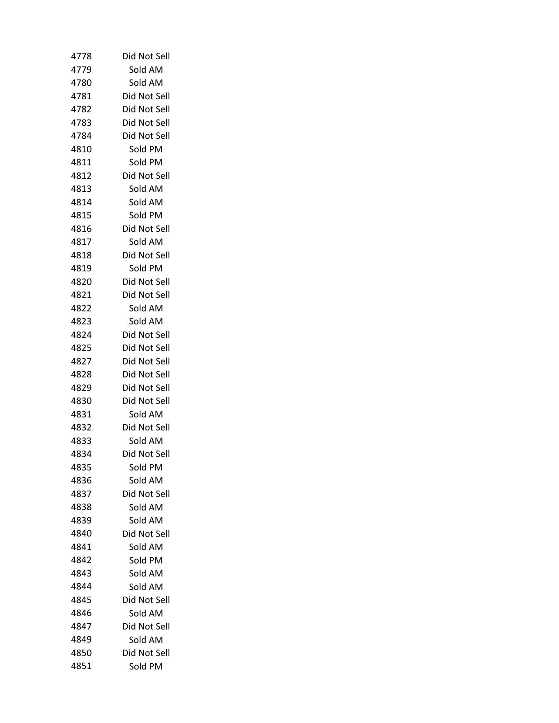| 4778 | Did Not Sell |
|------|--------------|
| 4779 | Sold AM      |
| 4780 | Sold AM      |
| 4781 | Did Not Sell |
| 4782 | Did Not Sell |
| 4783 | Did Not Sell |
| 4784 | Did Not Sell |
| 4810 | Sold PM      |
| 4811 | Sold PM      |
| 4812 | Did Not Sell |
| 4813 | Sold AM      |
| 4814 | Sold AM      |
| 4815 | Sold PM      |
| 4816 | Did Not Sell |
| 4817 | Sold AM      |
| 4818 | Did Not Sell |
| 4819 | Sold PM      |
| 4820 | Did Not Sell |
| 4821 | Did Not Sell |
| 4822 | Sold AM      |
| 4823 | Sold AM      |
| 4824 | Did Not Sell |
| 4825 | Did Not Sell |
| 4827 | Did Not Sell |
| 4828 | Did Not Sell |
| 4829 | Did Not Sell |
| 4830 | Did Not Sell |
| 4831 | Sold AM      |
| 4832 | Did Not Sell |
| 4833 | Sold AM      |
| 4834 | Did Not Sell |
| 4835 | Sold PM      |
| 4836 | Sold AM      |
| 4837 | Did Not Sell |
| 4838 | Sold AM      |
| 4839 | Sold AM      |
| 4840 | Did Not Sell |
| 4841 | Sold AM      |
| 4842 | Sold PM      |
| 4843 | Sold AM      |
| 4844 | Sold AM      |
| 4845 | Did Not Sell |
| 4846 | Sold AM      |
| 4847 | Did Not Sell |
| 4849 | Sold AM      |
| 4850 | Did Not Sell |
| 4851 | Sold PM      |